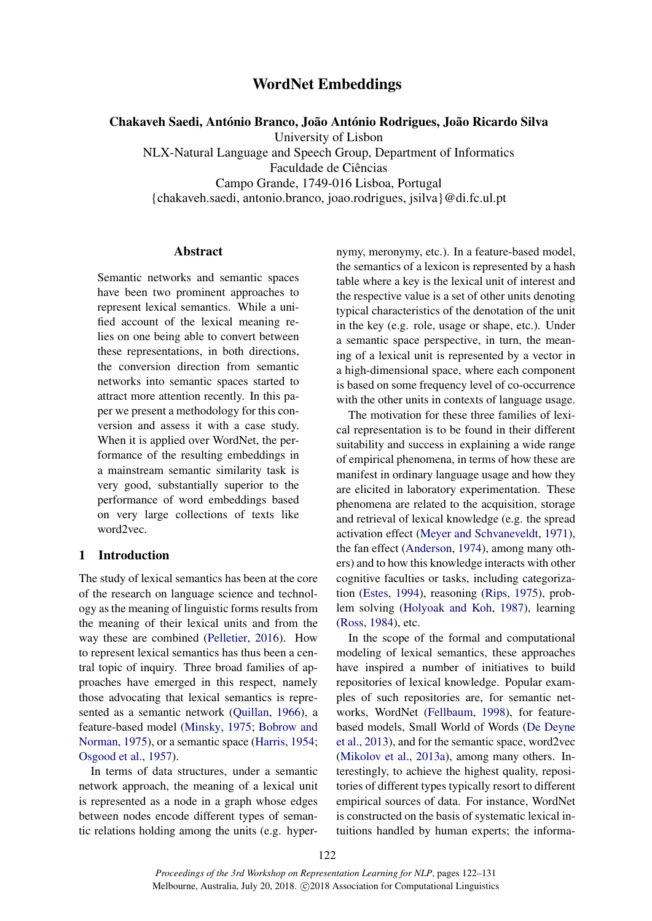# WordNet Embeddings

Chakaveh Saedi, António Branco, João António Rodrigues, João Ricardo Silva

University of Lisbon

NLX-Natural Language and Speech Group, Department of Informatics Faculdade de Ciências

Campo Grande, 1749-016 Lisboa, Portugal

{chakaveh.saedi, antonio.branco, joao.rodrigues, jsilva}@di.fc.ul.pt

### Abstract

Semantic networks and semantic spaces have been two prominent approaches to represent lexical semantics. While a unified account of the lexical meaning relies on one being able to convert between these representations, in both directions, the conversion direction from semantic networks into semantic spaces started to attract more attention recently. In this paper we present a methodology for this conversion and assess it with a case study. When it is applied over WordNet, the performance of the resulting embeddings in a mainstream semantic similarity task is very good, substantially superior to the performance of word embeddings based on very large collections of texts like word2vec.

### 1 Introduction

The study of lexical semantics has been at the core of the research on language science and technology as the meaning of linguistic forms results from the meaning of their lexical units and from the way these are combined (Pelletier, 2016). How to represent lexical semantics has thus been a central topic of inquiry. Three broad families of approaches have emerged in this respect, namely those advocating that lexical semantics is represented as a semantic network (Quillan, 1966), a feature-based model (Minsky, 1975; Bobrow and Norman, 1975), or a semantic space (Harris, 1954; Osgood et al., 1957).

In terms of data structures, under a semantic network approach, the meaning of a lexical unit is represented as a node in a graph whose edges between nodes encode different types of semantic relations holding among the units (e.g. hypernymy, meronymy, etc.). In a feature-based model, the semantics of a lexicon is represented by a hash table where a key is the lexical unit of interest and the respective value is a set of other units denoting typical characteristics of the denotation of the unit in the key (e.g. role, usage or shape, etc.). Under a semantic space perspective, in turn, the meaning of a lexical unit is represented by a vector in a high-dimensional space, where each component is based on some frequency level of co-occurrence with the other units in contexts of language usage.

The motivation for these three families of lexical representation is to be found in their different suitability and success in explaining a wide range of empirical phenomena, in terms of how these are manifest in ordinary language usage and how they are elicited in laboratory experimentation. These phenomena are related to the acquisition, storage and retrieval of lexical knowledge (e.g. the spread activation effect (Meyer and Schvaneveldt, 1971), the fan effect (Anderson, 1974), among many others) and to how this knowledge interacts with other cognitive faculties or tasks, including categorization (Estes, 1994), reasoning (Rips, 1975), problem solving (Holyoak and Koh, 1987), learning (Ross, 1984), etc.

In the scope of the formal and computational modeling of lexical semantics, these approaches have inspired a number of initiatives to build repositories of lexical knowledge. Popular examples of such repositories are, for semantic networks, WordNet (Fellbaum, 1998), for featurebased models, Small World of Words (De Deyne et al., 2013), and for the semantic space, word2vec (Mikolov et al., 2013a), among many others. Interestingly, to achieve the highest quality, repositories of different types typically resort to different empirical sources of data. For instance, WordNet is constructed on the basis of systematic lexical intuitions handled by human experts; the informa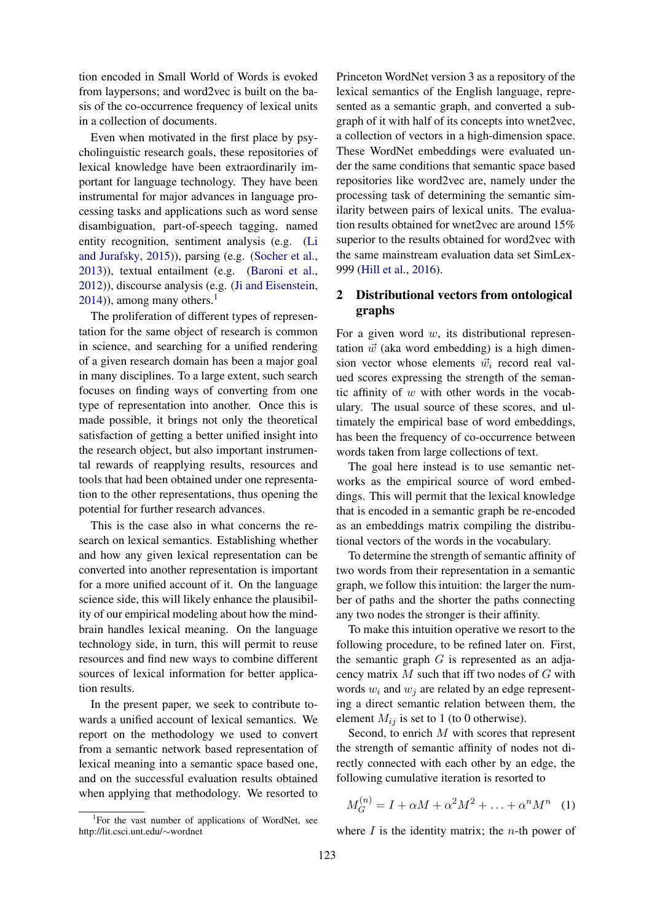tion encoded in Small World of Words is evoked from laypersons; and word2vec is built on the basis of the co-occurrence frequency of lexical units in a collection of documents.

Even when motivated in the first place by psycholinguistic research goals, these repositories of lexical knowledge have been extraordinarily important for language technology. They have been instrumental for major advances in language processing tasks and applications such as word sense disambiguation, part-of-speech tagging, named entity recognition, sentiment analysis (e.g. (Li and Jurafsky, 2015)), parsing (e.g. (Socher et al., 2013)), textual entailment (e.g. (Baroni et al., 2012)), discourse analysis (e.g. (Ji and Eisenstein,  $2014$ ), among many others.<sup>1</sup>

The proliferation of different types of representation for the same object of research is common in science, and searching for a unified rendering of a given research domain has been a major goal in many disciplines. To a large extent, such search focuses on finding ways of converting from one type of representation into another. Once this is made possible, it brings not only the theoretical satisfaction of getting a better unified insight into the research object, but also important instrumental rewards of reapplying results, resources and tools that had been obtained under one representation to the other representations, thus opening the potential for further research advances.

This is the case also in what concerns the research on lexical semantics. Establishing whether and how any given lexical representation can be converted into another representation is important for a more unified account of it. On the language science side, this will likely enhance the plausibility of our empirical modeling about how the mindbrain handles lexical meaning. On the language technology side, in turn, this will permit to reuse resources and find new ways to combine different sources of lexical information for better application results.

In the present paper, we seek to contribute towards a unified account of lexical semantics. We report on the methodology we used to convert from a semantic network based representation of lexical meaning into a semantic space based one, and on the successful evaluation results obtained when applying that methodology. We resorted to

Princeton WordNet version 3 as a repository of the lexical semantics of the English language, represented as a semantic graph, and converted a subgraph of it with half of its concepts into wnet2vec, a collection of vectors in a high-dimension space. These WordNet embeddings were evaluated under the same conditions that semantic space based repositories like word2vec are, namely under the processing task of determining the semantic similarity between pairs of lexical units. The evaluation results obtained for wnet2vec are around 15% superior to the results obtained for word2vec with the same mainstream evaluation data set SimLex-999 (Hill et al., 2016).

## 2 Distributional vectors from ontological graphs

For a given word  $w$ , its distributional representation  $\vec{w}$  (aka word embedding) is a high dimension vector whose elements  $\vec{w}_i$  record real valued scores expressing the strength of the semantic affinity of  $w$  with other words in the vocabulary. The usual source of these scores, and ultimately the empirical base of word embeddings, has been the frequency of co-occurrence between words taken from large collections of text.

The goal here instead is to use semantic networks as the empirical source of word embeddings. This will permit that the lexical knowledge that is encoded in a semantic graph be re-encoded as an embeddings matrix compiling the distributional vectors of the words in the vocabulary.

To determine the strength of semantic affinity of two words from their representation in a semantic graph, we follow this intuition: the larger the number of paths and the shorter the paths connecting any two nodes the stronger is their affinity.

To make this intuition operative we resort to the following procedure, to be refined later on. First, the semantic graph  $G$  is represented as an adjacency matrix  $M$  such that iff two nodes of  $G$  with words  $w_i$  and  $w_j$  are related by an edge representing a direct semantic relation between them, the element  $M_{ij}$  is set to 1 (to 0 otherwise).

Second, to enrich M with scores that represent the strength of semantic affinity of nodes not directly connected with each other by an edge, the following cumulative iteration is resorted to

$$
M_G^{(n)} = I + \alpha M + \alpha^2 M^2 + \ldots + \alpha^n M^n \quad (1)
$$

where  $I$  is the identity matrix; the *n*-th power of

<sup>&</sup>lt;sup>1</sup>For the vast number of applications of WordNet, see http://lit.csci.unt.edu/∼wordnet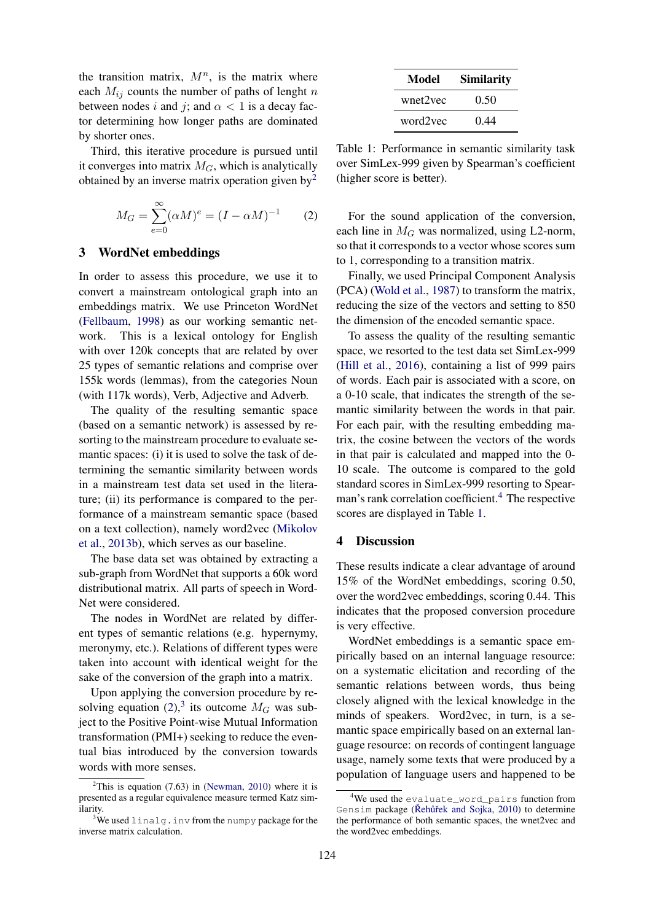the transition matrix,  $M^n$ , is the matrix where each  $M_{ij}$  counts the number of paths of lenght n between nodes i and j; and  $\alpha$  < 1 is a decay factor determining how longer paths are dominated by shorter ones.

Third, this iterative procedure is pursued until it converges into matrix  $M_G$ , which is analytically obtained by an inverse matrix operation given  $by<sup>2</sup>$ 

$$
M_G = \sum_{e=0}^{\infty} (\alpha M)^e = (I - \alpha M)^{-1}
$$
 (2)

#### 3 WordNet embeddings

In order to assess this procedure, we use it to convert a mainstream ontological graph into an embeddings matrix. We use Princeton WordNet (Fellbaum, 1998) as our working semantic network. This is a lexical ontology for English with over 120k concepts that are related by over 25 types of semantic relations and comprise over 155k words (lemmas), from the categories Noun (with 117k words), Verb, Adjective and Adverb.

The quality of the resulting semantic space (based on a semantic network) is assessed by resorting to the mainstream procedure to evaluate semantic spaces: (i) it is used to solve the task of determining the semantic similarity between words in a mainstream test data set used in the literature; (ii) its performance is compared to the performance of a mainstream semantic space (based on a text collection), namely word2vec (Mikolov et al., 2013b), which serves as our baseline.

The base data set was obtained by extracting a sub-graph from WordNet that supports a 60k word distributional matrix. All parts of speech in Word-Net were considered.

The nodes in WordNet are related by different types of semantic relations (e.g. hypernymy, meronymy, etc.). Relations of different types were taken into account with identical weight for the sake of the conversion of the graph into a matrix.

Upon applying the conversion procedure by resolving equation (2),<sup>3</sup> its outcome  $M_G$  was subject to the Positive Point-wise Mutual Information transformation (PMI+) seeking to reduce the eventual bias introduced by the conversion towards words with more senses.

| Model    | <b>Similarity</b> |  |  |  |  |
|----------|-------------------|--|--|--|--|
| wnet2vec | 0.50              |  |  |  |  |
| word2vec | 0.44              |  |  |  |  |

Table 1: Performance in semantic similarity task over SimLex-999 given by Spearman's coefficient (higher score is better).

For the sound application of the conversion, each line in  $M_G$  was normalized, using L2-norm, so that it corresponds to a vector whose scores sum to 1, corresponding to a transition matrix.

Finally, we used Principal Component Analysis (PCA) (Wold et al., 1987) to transform the matrix, reducing the size of the vectors and setting to 850 the dimension of the encoded semantic space.

To assess the quality of the resulting semantic space, we resorted to the test data set SimLex-999 (Hill et al., 2016), containing a list of 999 pairs of words. Each pair is associated with a score, on a 0-10 scale, that indicates the strength of the semantic similarity between the words in that pair. For each pair, with the resulting embedding matrix, the cosine between the vectors of the words in that pair is calculated and mapped into the 0- 10 scale. The outcome is compared to the gold standard scores in SimLex-999 resorting to Spearman's rank correlation coefficient.<sup>4</sup> The respective scores are displayed in Table 1.

#### 4 Discussion

These results indicate a clear advantage of around 15% of the WordNet embeddings, scoring 0.50, over the word2vec embeddings, scoring 0.44. This indicates that the proposed conversion procedure is very effective.

WordNet embeddings is a semantic space empirically based on an internal language resource: on a systematic elicitation and recording of the semantic relations between words, thus being closely aligned with the lexical knowledge in the minds of speakers. Word2vec, in turn, is a semantic space empirically based on an external language resource: on records of contingent language usage, namely some texts that were produced by a population of language users and happened to be

<sup>&</sup>lt;sup>2</sup>This is equation (7.63) in (Newman, 2010) where it is presented as a regular equivalence measure termed Katz similarity.

<sup>&</sup>lt;sup>3</sup>We used linalg.inv from the numpy package for the inverse matrix calculation.

<sup>&</sup>lt;sup>4</sup>We used the evaluate\_word\_pairs function from Gensim package (Řehůřek and Sojka, 2010) to determine the performance of both semantic spaces, the wnet2vec and the word2vec embeddings.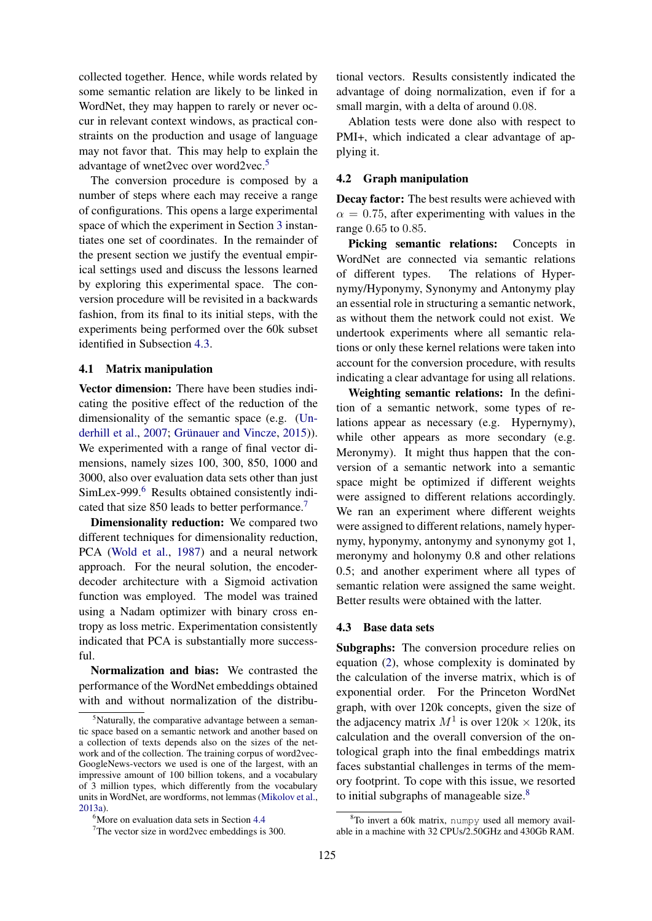collected together. Hence, while words related by some semantic relation are likely to be linked in WordNet, they may happen to rarely or never occur in relevant context windows, as practical constraints on the production and usage of language may not favor that. This may help to explain the advantage of wnet2vec over word2vec.<sup>5</sup>

The conversion procedure is composed by a number of steps where each may receive a range of configurations. This opens a large experimental space of which the experiment in Section 3 instantiates one set of coordinates. In the remainder of the present section we justify the eventual empirical settings used and discuss the lessons learned by exploring this experimental space. The conversion procedure will be revisited in a backwards fashion, from its final to its initial steps, with the experiments being performed over the 60k subset identified in Subsection 4.3.

### 4.1 Matrix manipulation

Vector dimension: There have been studies indicating the positive effect of the reduction of the dimensionality of the semantic space (e.g. (Underhill et al., 2007; Grünauer and Vincze, 2015)). We experimented with a range of final vector dimensions, namely sizes 100, 300, 850, 1000 and 3000, also over evaluation data sets other than just SimLex-999.<sup>6</sup> Results obtained consistently indicated that size 850 leads to better performance.<sup>7</sup>

Dimensionality reduction: We compared two different techniques for dimensionality reduction, PCA (Wold et al., 1987) and a neural network approach. For the neural solution, the encoderdecoder architecture with a Sigmoid activation function was employed. The model was trained using a Nadam optimizer with binary cross entropy as loss metric. Experimentation consistently indicated that PCA is substantially more successful.

Normalization and bias: We contrasted the performance of the WordNet embeddings obtained with and without normalization of the distributional vectors. Results consistently indicated the advantage of doing normalization, even if for a small margin, with a delta of around 0.08.

Ablation tests were done also with respect to PMI+, which indicated a clear advantage of applying it.

### 4.2 Graph manipulation

Decay factor: The best results were achieved with  $\alpha = 0.75$ , after experimenting with values in the range 0.65 to 0.85.

Picking semantic relations: Concepts in WordNet are connected via semantic relations of different types. The relations of Hypernymy/Hyponymy, Synonymy and Antonymy play an essential role in structuring a semantic network, as without them the network could not exist. We undertook experiments where all semantic relations or only these kernel relations were taken into account for the conversion procedure, with results indicating a clear advantage for using all relations.

Weighting semantic relations: In the definition of a semantic network, some types of relations appear as necessary (e.g. Hypernymy), while other appears as more secondary (e.g. Meronymy). It might thus happen that the conversion of a semantic network into a semantic space might be optimized if different weights were assigned to different relations accordingly. We ran an experiment where different weights were assigned to different relations, namely hypernymy, hyponymy, antonymy and synonymy got 1, meronymy and holonymy 0.8 and other relations 0.5; and another experiment where all types of semantic relation were assigned the same weight. Better results were obtained with the latter.

### 4.3 Base data sets

Subgraphs: The conversion procedure relies on equation (2), whose complexity is dominated by the calculation of the inverse matrix, which is of exponential order. For the Princeton WordNet graph, with over 120k concepts, given the size of the adjacency matrix  $M^1$  is over  $120k \times 120k$ , its calculation and the overall conversion of the ontological graph into the final embeddings matrix faces substantial challenges in terms of the memory footprint. To cope with this issue, we resorted to initial subgraphs of manageable size.<sup>8</sup>

<sup>&</sup>lt;sup>5</sup>Naturally, the comparative advantage between a semantic space based on a semantic network and another based on a collection of texts depends also on the sizes of the network and of the collection. The training corpus of word2vec-GoogleNews-vectors we used is one of the largest, with an impressive amount of 100 billion tokens, and a vocabulary of 3 million types, which differently from the vocabulary units in WordNet, are wordforms, not lemmas (Mikolov et al., 2013a).

<sup>&</sup>lt;sup>6</sup>More on evaluation data sets in Section 4.4

<sup>7</sup>The vector size in word2vec embeddings is 300.

 $8$ To invert a 60k matrix, numpy used all memory available in a machine with 32 CPUs/2.50GHz and 430Gb RAM.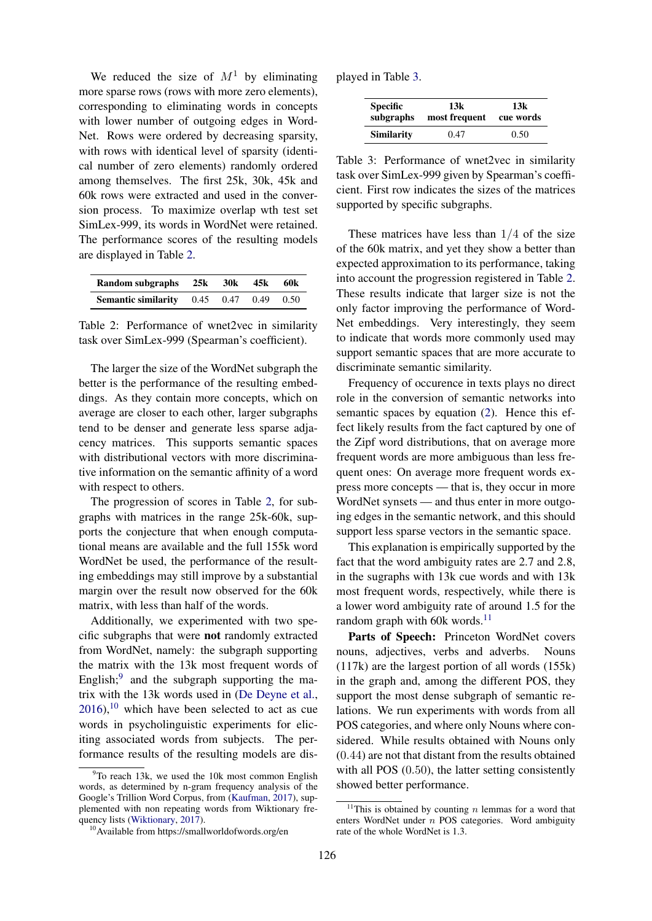We reduced the size of  $M<sup>1</sup>$  by eliminating more sparse rows (rows with more zero elements), corresponding to eliminating words in concepts with lower number of outgoing edges in Word-Net. Rows were ordered by decreasing sparsity, with rows with identical level of sparsity (identical number of zero elements) randomly ordered among themselves. The first 25k, 30k, 45k and 60k rows were extracted and used in the conversion process. To maximize overlap wth test set SimLex-999, its words in WordNet were retained. The performance scores of the resulting models are displayed in Table 2.

| Random subgraphs 25k 30k 45k 60k                       |  |  |
|--------------------------------------------------------|--|--|
| <b>Semantic similarity</b> $0.45$ $0.47$ $0.49$ $0.50$ |  |  |

Table 2: Performance of wnet2vec in similarity task over SimLex-999 (Spearman's coefficient).

The larger the size of the WordNet subgraph the better is the performance of the resulting embeddings. As they contain more concepts, which on average are closer to each other, larger subgraphs tend to be denser and generate less sparse adjacency matrices. This supports semantic spaces with distributional vectors with more discriminative information on the semantic affinity of a word with respect to others.

The progression of scores in Table 2, for subgraphs with matrices in the range 25k-60k, supports the conjecture that when enough computational means are available and the full 155k word WordNet be used, the performance of the resulting embeddings may still improve by a substantial margin over the result now observed for the 60k matrix, with less than half of the words.

Additionally, we experimented with two specific subgraphs that were not randomly extracted from WordNet, namely: the subgraph supporting the matrix with the 13k most frequent words of English; $9$  and the subgraph supporting the matrix with the 13k words used in (De Deyne et al.,  $2016$ ,<sup>10</sup> which have been selected to act as cue words in psycholinguistic experiments for eliciting associated words from subjects. The performance results of the resulting models are displayed in Table 3.

| <b>Specific</b>   | 13k           | 13k       |  |  |
|-------------------|---------------|-----------|--|--|
| subgraphs         | most frequent | cue words |  |  |
| <b>Similarity</b> | 0.47          | 0.50      |  |  |

Table 3: Performance of wnet2vec in similarity task over SimLex-999 given by Spearman's coefficient. First row indicates the sizes of the matrices supported by specific subgraphs.

These matrices have less than  $1/4$  of the size of the 60k matrix, and yet they show a better than expected approximation to its performance, taking into account the progression registered in Table 2. These results indicate that larger size is not the only factor improving the performance of Word-Net embeddings. Very interestingly, they seem to indicate that words more commonly used may support semantic spaces that are more accurate to discriminate semantic similarity.

Frequency of occurence in texts plays no direct role in the conversion of semantic networks into semantic spaces by equation (2). Hence this effect likely results from the fact captured by one of the Zipf word distributions, that on average more frequent words are more ambiguous than less frequent ones: On average more frequent words express more concepts — that is, they occur in more WordNet synsets — and thus enter in more outgoing edges in the semantic network, and this should support less sparse vectors in the semantic space.

This explanation is empirically supported by the fact that the word ambiguity rates are 2.7 and 2.8, in the sugraphs with 13k cue words and with 13k most frequent words, respectively, while there is a lower word ambiguity rate of around 1.5 for the random graph with 60k words. $^{11}$ 

Parts of Speech: Princeton WordNet covers nouns, adjectives, verbs and adverbs. Nouns (117k) are the largest portion of all words (155k) in the graph and, among the different POS, they support the most dense subgraph of semantic relations. We run experiments with words from all POS categories, and where only Nouns where considered. While results obtained with Nouns only (0.44) are not that distant from the results obtained with all POS  $(0.50)$ , the latter setting consistently showed better performance.

 $9$ To reach 13k, we used the 10k most common English words, as determined by n-gram frequency analysis of the Google's Trillion Word Corpus, from (Kaufman, 2017), supplemented with non repeating words from Wiktionary frequency lists (Wiktionary, 2017).

<sup>10</sup>Available from https://smallworldofwords.org/en

<sup>&</sup>lt;sup>11</sup>This is obtained by counting  $n$  lemmas for a word that enters WordNet under n POS categories. Word ambiguity rate of the whole WordNet is 1.3.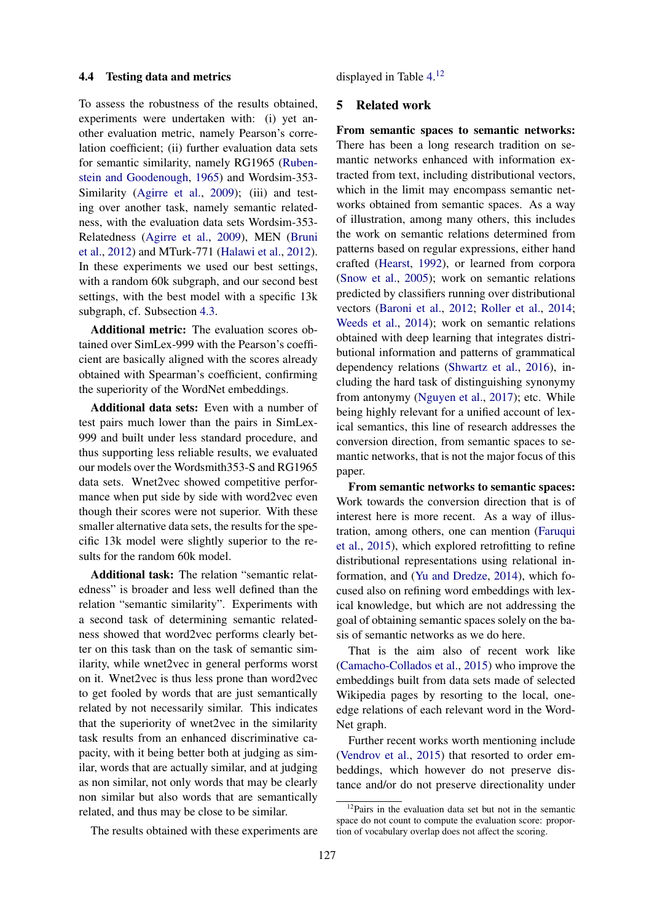### 4.4 Testing data and metrics

To assess the robustness of the results obtained, experiments were undertaken with: (i) yet another evaluation metric, namely Pearson's correlation coefficient; (ii) further evaluation data sets for semantic similarity, namely RG1965 (Rubenstein and Goodenough, 1965) and Wordsim-353- Similarity (Agirre et al., 2009); (iii) and testing over another task, namely semantic relatedness, with the evaluation data sets Wordsim-353- Relatedness (Agirre et al., 2009), MEN (Bruni et al., 2012) and MTurk-771 (Halawi et al., 2012). In these experiments we used our best settings, with a random 60k subgraph, and our second best settings, with the best model with a specific 13k subgraph, cf. Subsection 4.3.

Additional metric: The evaluation scores obtained over SimLex-999 with the Pearson's coefficient are basically aligned with the scores already obtained with Spearman's coefficient, confirming the superiority of the WordNet embeddings.

Additional data sets: Even with a number of test pairs much lower than the pairs in SimLex-999 and built under less standard procedure, and thus supporting less reliable results, we evaluated our models over the Wordsmith353-S and RG1965 data sets. Wnet2vec showed competitive performance when put side by side with word2vec even though their scores were not superior. With these smaller alternative data sets, the results for the specific 13k model were slightly superior to the results for the random 60k model.

Additional task: The relation "semantic relatedness" is broader and less well defined than the relation "semantic similarity". Experiments with a second task of determining semantic relatedness showed that word2vec performs clearly better on this task than on the task of semantic similarity, while wnet2vec in general performs worst on it. Wnet2vec is thus less prone than word2vec to get fooled by words that are just semantically related by not necessarily similar. This indicates that the superiority of wnet2vec in the similarity task results from an enhanced discriminative capacity, with it being better both at judging as similar, words that are actually similar, and at judging as non similar, not only words that may be clearly non similar but also words that are semantically related, and thus may be close to be similar.

The results obtained with these experiments are

displayed in Table 4. 12

### 5 Related work

From semantic spaces to semantic networks: There has been a long research tradition on semantic networks enhanced with information extracted from text, including distributional vectors, which in the limit may encompass semantic networks obtained from semantic spaces. As a way of illustration, among many others, this includes the work on semantic relations determined from patterns based on regular expressions, either hand crafted (Hearst, 1992), or learned from corpora (Snow et al., 2005); work on semantic relations predicted by classifiers running over distributional vectors (Baroni et al., 2012; Roller et al., 2014; Weeds et al., 2014); work on semantic relations obtained with deep learning that integrates distributional information and patterns of grammatical dependency relations (Shwartz et al., 2016), including the hard task of distinguishing synonymy from antonymy (Nguyen et al., 2017); etc. While being highly relevant for a unified account of lexical semantics, this line of research addresses the conversion direction, from semantic spaces to semantic networks, that is not the major focus of this paper.

From semantic networks to semantic spaces: Work towards the conversion direction that is of interest here is more recent. As a way of illustration, among others, one can mention (Faruqui et al., 2015), which explored retrofitting to refine distributional representations using relational information, and (Yu and Dredze, 2014), which focused also on refining word embeddings with lexical knowledge, but which are not addressing the goal of obtaining semantic spaces solely on the basis of semantic networks as we do here.

That is the aim also of recent work like (Camacho-Collados et al., 2015) who improve the embeddings built from data sets made of selected Wikipedia pages by resorting to the local, oneedge relations of each relevant word in the Word-Net graph.

Further recent works worth mentioning include (Vendrov et al., 2015) that resorted to order embeddings, which however do not preserve distance and/or do not preserve directionality under

<sup>&</sup>lt;sup>12</sup>Pairs in the evaluation data set but not in the semantic space do not count to compute the evaluation score: proportion of vocabulary overlap does not affect the scoring.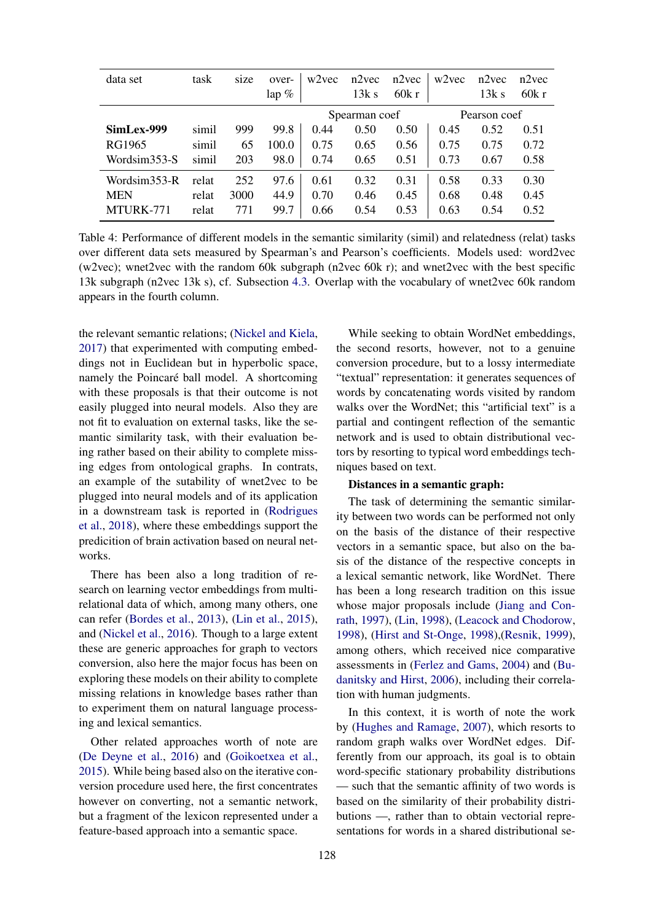| data set     | task  | size | over-<br>lap $%$ | w <sub>2vec</sub> | $n2$ vec<br>13k s | $n2$ vec<br>60k r | w <sub>2</sub> vec | $n2$ vec<br>13k s | n2vec<br>60k r |
|--------------|-------|------|------------------|-------------------|-------------------|-------------------|--------------------|-------------------|----------------|
|              |       |      |                  | Spearman coef     |                   |                   | Pearson coef       |                   |                |
| SimLex-999   | simil | 999  | 99.8             | 0.44              | 0.50              | 0.50              | 0.45               | 0.52              | 0.51           |
| RG1965       | simil | 65   | 100.0            | 0.75              | 0.65              | 0.56              | 0.75               | 0.75              | 0.72           |
| Wordsim353-S | simil | 203  | 98.0             | 0.74              | 0.65              | 0.51              | 0.73               | 0.67              | 0.58           |
| Wordsim353-R | relat | 252  | 97.6             | 0.61              | 0.32              | 0.31              | 0.58               | 0.33              | 0.30           |
| <b>MEN</b>   | relat | 3000 | 44.9             | 0.70              | 0.46              | 0.45              | 0.68               | 0.48              | 0.45           |
| MTURK-771    | relat | 771  | 99.7             | 0.66              | 0.54              | 0.53              | 0.63               | 0.54              | 0.52           |

Table 4: Performance of different models in the semantic similarity (simil) and relatedness (relat) tasks over different data sets measured by Spearman's and Pearson's coefficients. Models used: word2vec (w2vec); wnet2vec with the random 60k subgraph (n2vec 60k r); and wnet2vec with the best specific 13k subgraph (n2vec 13k s), cf. Subsection 4.3. Overlap with the vocabulary of wnet2vec 60k random appears in the fourth column.

the relevant semantic relations; (Nickel and Kiela, 2017) that experimented with computing embeddings not in Euclidean but in hyperbolic space, namely the Poincaré ball model. A shortcoming with these proposals is that their outcome is not easily plugged into neural models. Also they are not fit to evaluation on external tasks, like the semantic similarity task, with their evaluation being rather based on their ability to complete missing edges from ontological graphs. In contrats, an example of the sutability of wnet2vec to be plugged into neural models and of its application in a downstream task is reported in (Rodrigues et al., 2018), where these embeddings support the predicition of brain activation based on neural networks.

There has been also a long tradition of research on learning vector embeddings from multirelational data of which, among many others, one can refer (Bordes et al., 2013), (Lin et al., 2015), and (Nickel et al., 2016). Though to a large extent these are generic approaches for graph to vectors conversion, also here the major focus has been on exploring these models on their ability to complete missing relations in knowledge bases rather than to experiment them on natural language processing and lexical semantics.

Other related approaches worth of note are (De Deyne et al., 2016) and (Goikoetxea et al., 2015). While being based also on the iterative conversion procedure used here, the first concentrates however on converting, not a semantic network, but a fragment of the lexicon represented under a feature-based approach into a semantic space.

While seeking to obtain WordNet embeddings, the second resorts, however, not to a genuine conversion procedure, but to a lossy intermediate "textual" representation: it generates sequences of words by concatenating words visited by random walks over the WordNet; this "artificial text" is a partial and contingent reflection of the semantic network and is used to obtain distributional vectors by resorting to typical word embeddings techniques based on text.

### Distances in a semantic graph:

The task of determining the semantic similarity between two words can be performed not only on the basis of the distance of their respective vectors in a semantic space, but also on the basis of the distance of the respective concepts in a lexical semantic network, like WordNet. There has been a long research tradition on this issue whose major proposals include (Jiang and Conrath, 1997), (Lin, 1998), (Leacock and Chodorow, 1998), (Hirst and St-Onge, 1998),(Resnik, 1999), among others, which received nice comparative assessments in (Ferlez and Gams, 2004) and (Budanitsky and Hirst, 2006), including their correlation with human judgments.

In this context, it is worth of note the work by (Hughes and Ramage, 2007), which resorts to random graph walks over WordNet edges. Differently from our approach, its goal is to obtain word-specific stationary probability distributions — such that the semantic affinity of two words is based on the similarity of their probability distributions —, rather than to obtain vectorial representations for words in a shared distributional se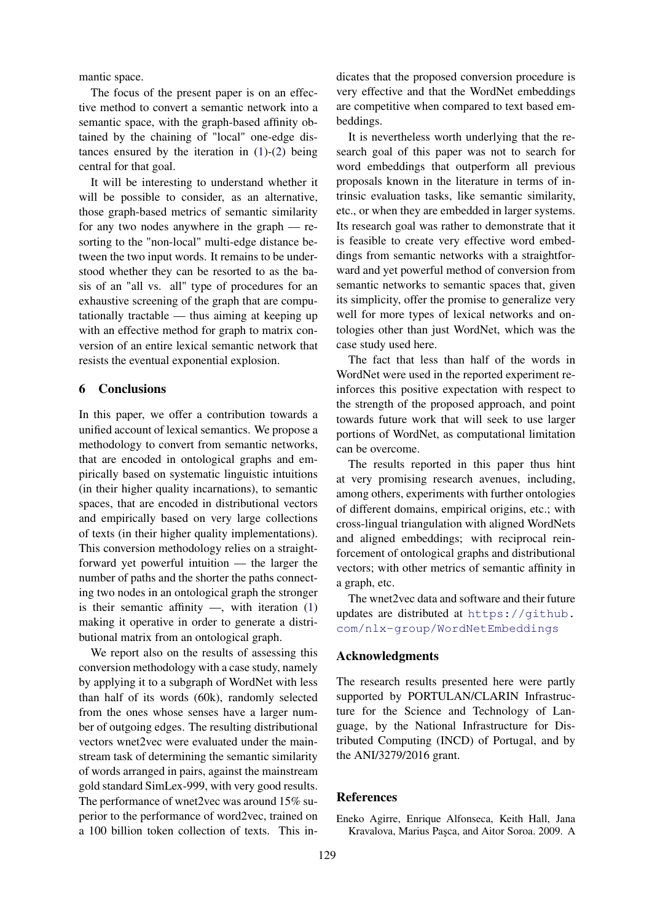mantic space.

The focus of the present paper is on an effective method to convert a semantic network into a semantic space, with the graph-based affinity obtained by the chaining of "local" one-edge distances ensured by the iteration in (1)-(2) being central for that goal.

It will be interesting to understand whether it will be possible to consider, as an alternative, those graph-based metrics of semantic similarity for any two nodes anywhere in the graph — resorting to the "non-local" multi-edge distance between the two input words. It remains to be understood whether they can be resorted to as the basis of an "all vs. all" type of procedures for an exhaustive screening of the graph that are computationally tractable — thus aiming at keeping up with an effective method for graph to matrix conversion of an entire lexical semantic network that resists the eventual exponential explosion.

### 6 Conclusions

In this paper, we offer a contribution towards a unified account of lexical semantics. We propose a methodology to convert from semantic networks, that are encoded in ontological graphs and empirically based on systematic linguistic intuitions (in their higher quality incarnations), to semantic spaces, that are encoded in distributional vectors and empirically based on very large collections of texts (in their higher quality implementations). This conversion methodology relies on a straightforward yet powerful intuition — the larger the number of paths and the shorter the paths connecting two nodes in an ontological graph the stronger is their semantic affinity  $\rightarrow$ , with iteration (1) making it operative in order to generate a distributional matrix from an ontological graph.

We report also on the results of assessing this conversion methodology with a case study, namely by applying it to a subgraph of WordNet with less than half of its words (60k), randomly selected from the ones whose senses have a larger number of outgoing edges. The resulting distributional vectors wnet2vec were evaluated under the mainstream task of determining the semantic similarity of words arranged in pairs, against the mainstream gold standard SimLex-999, with very good results. The performance of wnet2vec was around 15% superior to the performance of word2vec, trained on a 100 billion token collection of texts. This in-

dicates that the proposed conversion procedure is very effective and that the WordNet embeddings are competitive when compared to text based embeddings.

It is nevertheless worth underlying that the research goal of this paper was not to search for word embeddings that outperform all previous proposals known in the literature in terms of intrinsic evaluation tasks, like semantic similarity, etc., or when they are embedded in larger systems. Its research goal was rather to demonstrate that it is feasible to create very effective word embeddings from semantic networks with a straightforward and yet powerful method of conversion from semantic networks to semantic spaces that, given its simplicity, offer the promise to generalize very well for more types of lexical networks and ontologies other than just WordNet, which was the case study used here.

The fact that less than half of the words in WordNet were used in the reported experiment reinforces this positive expectation with respect to the strength of the proposed approach, and point towards future work that will seek to use larger portions of WordNet, as computational limitation can be overcome.

The results reported in this paper thus hint at very promising research avenues, including, among others, experiments with further ontologies of different domains, empirical origins, etc.; with cross-lingual triangulation with aligned WordNets and aligned embeddings; with reciprocal reinforcement of ontological graphs and distributional vectors; with other metrics of semantic affinity in a graph, etc.

The wnet2vec data and software and their future updates are distributed at https://github. com/nlx-group/WordNetEmbeddings

#### Acknowledgments

The research results presented here were partly supported by PORTULAN/CLARIN Infrastructure for the Science and Technology of Language, by the National Infrastructure for Distributed Computing (INCD) of Portugal, and by the ANI/3279/2016 grant.

### References

Eneko Agirre, Enrique Alfonseca, Keith Hall, Jana Kravalova, Marius Paşca, and Aitor Soroa. 2009. A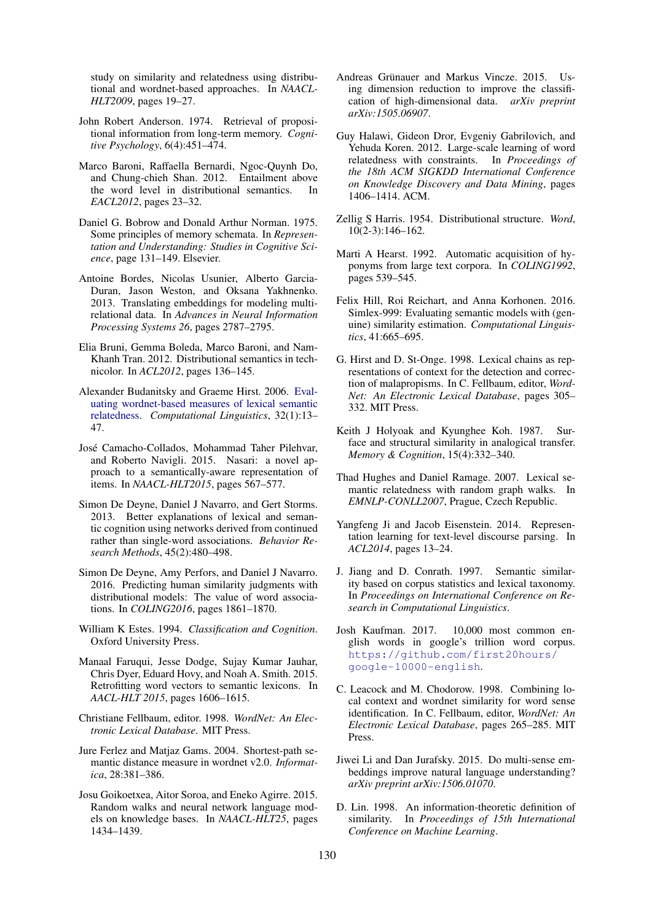study on similarity and relatedness using distributional and wordnet-based approaches. In *NAACL-HLT2009*, pages 19–27.

- John Robert Anderson. 1974. Retrieval of propositional information from long-term memory. *Cognitive Psychology*, 6(4):451–474.
- Marco Baroni, Raffaella Bernardi, Ngoc-Quynh Do, and Chung-chieh Shan. 2012. Entailment above the word level in distributional semantics. In *EACL2012*, pages 23–32.
- Daniel G. Bobrow and Donald Arthur Norman. 1975. Some principles of memory schemata. In *Representation and Understanding: Studies in Cognitive Science*, page 131–149. Elsevier.
- Antoine Bordes, Nicolas Usunier, Alberto Garcia-Duran, Jason Weston, and Oksana Yakhnenko. 2013. Translating embeddings for modeling multirelational data. In *Advances in Neural Information Processing Systems 26*, pages 2787–2795.
- Elia Bruni, Gemma Boleda, Marco Baroni, and Nam-Khanh Tran. 2012. Distributional semantics in technicolor. In *ACL2012*, pages 136–145.
- Alexander Budanitsky and Graeme Hirst. 2006. Evaluating wordnet-based measures of lexical semantic relatedness. *Computational Linguistics*, 32(1):13– 47.
- José Camacho-Collados, Mohammad Taher Pilehvar, and Roberto Navigli. 2015. Nasari: a novel approach to a semantically-aware representation of items. In *NAACL-HLT2015*, pages 567–577.
- Simon De Deyne, Daniel J Navarro, and Gert Storms. 2013. Better explanations of lexical and semantic cognition using networks derived from continued rather than single-word associations. *Behavior Research Methods*, 45(2):480–498.
- Simon De Deyne, Amy Perfors, and Daniel J Navarro. 2016. Predicting human similarity judgments with distributional models: The value of word associations. In *COLING2016*, pages 1861–1870.
- William K Estes. 1994. *Classification and Cognition*. Oxford University Press.
- Manaal Faruqui, Jesse Dodge, Sujay Kumar Jauhar, Chris Dyer, Eduard Hovy, and Noah A. Smith. 2015. Retrofitting word vectors to semantic lexicons. In *AACL-HLT 2015*, pages 1606–1615.
- Christiane Fellbaum, editor. 1998. *WordNet: An Electronic Lexical Database*. MIT Press.
- Jure Ferlez and Matjaz Gams. 2004. Shortest-path semantic distance measure in wordnet v2.0. *Informatica*, 28:381–386.
- Josu Goikoetxea, Aitor Soroa, and Eneko Agirre. 2015. Random walks and neural network language models on knowledge bases. In *NAACL-HLT25*, pages 1434–1439.
- Andreas Grünauer and Markus Vincze. 2015. Using dimension reduction to improve the classification of high-dimensional data. *arXiv preprint arXiv:1505.06907*.
- Guy Halawi, Gideon Dror, Evgeniy Gabrilovich, and Yehuda Koren. 2012. Large-scale learning of word relatedness with constraints. In *Proceedings of the 18th ACM SIGKDD International Conference on Knowledge Discovery and Data Mining*, pages 1406–1414. ACM.
- Zellig S Harris. 1954. Distributional structure. *Word*, 10(2-3):146–162.
- Marti A Hearst. 1992. Automatic acquisition of hyponyms from large text corpora. In *COLING1992*, pages 539–545.
- Felix Hill, Roi Reichart, and Anna Korhonen. 2016. Simlex-999: Evaluating semantic models with (genuine) similarity estimation. *Computational Linguistics*, 41:665–695.
- G. Hirst and D. St-Onge. 1998. Lexical chains as representations of context for the detection and correction of malapropisms. In C. Fellbaum, editor, *Word-Net: An Electronic Lexical Database*, pages 305– 332. MIT Press.
- Keith J Holyoak and Kyunghee Koh. 1987. Surface and structural similarity in analogical transfer. *Memory & Cognition*, 15(4):332–340.
- Thad Hughes and Daniel Ramage. 2007. Lexical semantic relatedness with random graph walks. In *EMNLP-CONLL2007*, Prague, Czech Republic.
- Yangfeng Ji and Jacob Eisenstein. 2014. Representation learning for text-level discourse parsing. In *ACL2014*, pages 13–24.
- J. Jiang and D. Conrath. 1997. Semantic similarity based on corpus statistics and lexical taxonomy. In *Proceedings on International Conference on Research in Computational Linguistics*.
- Josh Kaufman. 2017. 10,000 most common english words in google's trillion word corpus. https://github.com/first20hours/ google-10000-english.
- C. Leacock and M. Chodorow. 1998. Combining local context and wordnet similarity for word sense identification. In C. Fellbaum, editor, *WordNet: An Electronic Lexical Database*, pages 265–285. MIT Press.
- Jiwei Li and Dan Jurafsky. 2015. Do multi-sense embeddings improve natural language understanding? *arXiv preprint arXiv:1506.01070*.
- D. Lin. 1998. An information-theoretic definition of similarity. In *Proceedings of 15th International Conference on Machine Learning*.